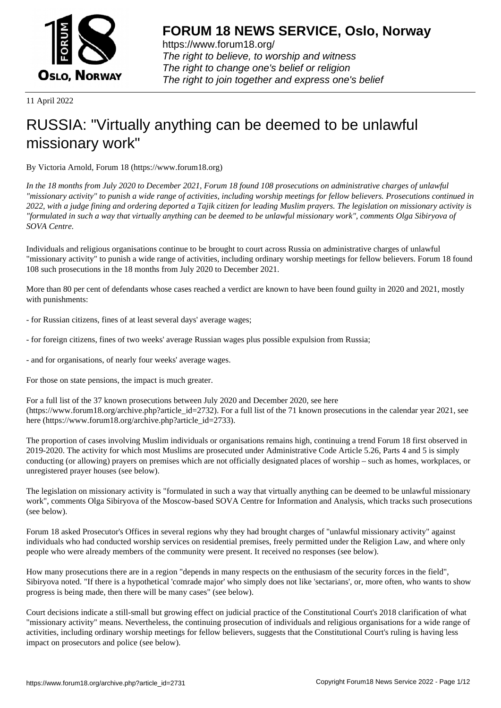

https://www.forum18.org/ The right to believe, to worship and witness The right to change one's belief or religion [The right to join together a](https://www.forum18.org/)nd express one's belief

11 April 2022

## [RUSSIA: "Virtua](https://www.forum18.org)lly anything can be deemed to be unlawful missionary work"

By Victoria Arnold, Forum 18 (https://www.forum18.org)

*In the 18 months from July 2020 to December 2021, Forum 18 found 108 prosecutions on administrative charges of unlawful "missionary activity" to punish a wide range of activities, including worship meetings for fellow believers. Prosecutions continued in 2022, with a judge fining and ordering deported a Tajik citizen for leading Muslim prayers. The legislation on missionary activity is "formulated in such a way that virtually anything can be deemed to be unlawful missionary work", comments Olga Sibiryova of SOVA Centre.*

Individuals and religious organisations continue to be brought to court across Russia on administrative charges of unlawful "missionary activity" to punish a wide range of activities, including ordinary worship meetings for fellow believers. Forum 18 found 108 such prosecutions in the 18 months from July 2020 to December 2021.

More than 80 per cent of defendants whose cases reached a verdict are known to have been found guilty in 2020 and 2021, mostly with punishments:

- for Russian citizens, fines of at least several days' average wages;
- for foreign citizens, fines of two weeks' average Russian wages plus possible expulsion from Russia;
- and for organisations, of nearly four weeks' average wages.

For those on state pensions, the impact is much greater.

For a full list of the 37 known prosecutions between July 2020 and December 2020, see here (https://www.forum18.org/archive.php?article\_id=2732). For a full list of the 71 known prosecutions in the calendar year 2021, see here (https://www.forum18.org/archive.php?article\_id=2733).

The proportion of cases involving Muslim individuals or organisations remains high, continuing a trend Forum 18 first observed in 2019-2020. The activity for which most Muslims are prosecuted under Administrative Code Article 5.26, Parts 4 and 5 is simply conducting (or allowing) prayers on premises which are not officially designated places of worship – such as homes, workplaces, or unregistered prayer houses (see below).

The legislation on missionary activity is "formulated in such a way that virtually anything can be deemed to be unlawful missionary work", comments Olga Sibiryova of the Moscow-based SOVA Centre for Information and Analysis, which tracks such prosecutions (see below).

Forum 18 asked Prosecutor's Offices in several regions why they had brought charges of "unlawful missionary activity" against individuals who had conducted worship services on residential premises, freely permitted under the Religion Law, and where only people who were already members of the community were present. It received no responses (see below).

How many prosecutions there are in a region "depends in many respects on the enthusiasm of the security forces in the field", Sibiryova noted. "If there is a hypothetical 'comrade major' who simply does not like 'sectarians', or, more often, who wants to show progress is being made, then there will be many cases" (see below).

Court decisions indicate a still-small but growing effect on judicial practice of the Constitutional Court's 2018 clarification of what "missionary activity" means. Nevertheless, the continuing prosecution of individuals and religious organisations for a wide range of activities, including ordinary worship meetings for fellow believers, suggests that the Constitutional Court's ruling is having less impact on prosecutors and police (see below).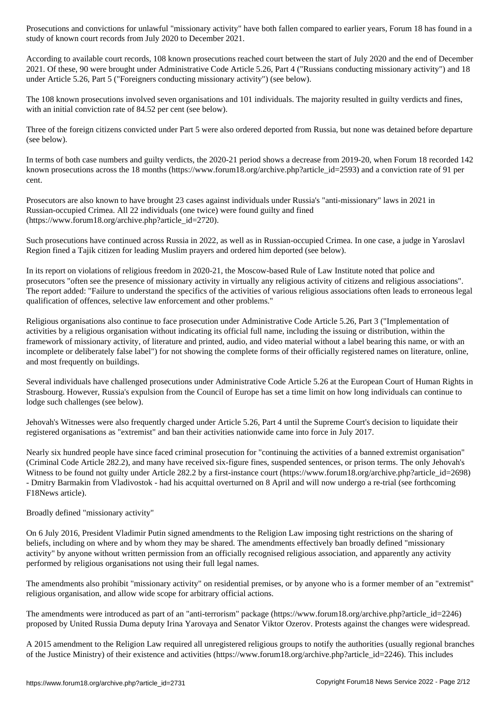According to available court records, 108 known prosecutions reached court between the start of July 2020 and the end of December 2021. Of these, 90 were brought under Administrative Code Article 5.26, Part 4 ("Russians conducting missionary activity") and 18 under Article 5.26, Part 5 ("Foreigners conducting missionary activity") (see below).

study of known court records from July 2020 to December 2021.

The 108 known prosecutions involved seven organisations and 101 individuals. The majority resulted in guilty verdicts and fines, with an initial conviction rate of 84.52 per cent (see below).

Three of the foreign citizens convicted under Part 5 were also ordered deported from Russia, but none was detained before departure (see below).

In terms of both case numbers and guilty verdicts, the 2020-21 period shows a decrease from 2019-20, when Forum 18 recorded 142 known prosecutions across the 18 months (https://www.forum18.org/archive.php?article\_id=2593) and a conviction rate of 91 per cent.

Prosecutors are also known to have brought 23 cases against individuals under Russia's "anti-missionary" laws in 2021 in Russian-occupied Crimea. All 22 individuals (one twice) were found guilty and fined (https://www.forum18.org/archive.php?article\_id=2720).

Such prosecutions have continued across Russia in 2022, as well as in Russian-occupied Crimea. In one case, a judge in Yaroslavl Region fined a Tajik citizen for leading Muslim prayers and ordered him deported (see below).

In its report on violations of religious freedom in 2020-21, the Moscow-based Rule of Law Institute noted that police and prosecutors "often see the presence of missionary activity in virtually any religious activity of citizens and religious associations". The report added: "Failure to understand the specifics of the activities of various religious associations often leads to erroneous legal qualification of offences, selective law enforcement and other problems."

Religious organisations also continue to face prosecution under Administrative Code Article 5.26, Part 3 ("Implementation of activities by a religious organisation without indicating its official full name, including the issuing or distribution, within the framework of missionary activity, of literature and printed, audio, and video material without a label bearing this name, or with an incomplete or deliberately false label") for not showing the complete forms of their officially registered names on literature, online, and most frequently on buildings.

Several individuals have challenged prosecutions under Administrative Code Article 5.26 at the European Court of Human Rights in Strasbourg. However, Russia's expulsion from the Council of Europe has set a time limit on how long individuals can continue to lodge such challenges (see below).

Jehovah's Witnesses were also frequently charged under Article 5.26, Part 4 until the Supreme Court's decision to liquidate their registered organisations as "extremist" and ban their activities nationwide came into force in July 2017.

Nearly six hundred people have since faced criminal prosecution for "continuing the activities of a banned extremist organisation" (Criminal Code Article 282.2), and many have received six-figure fines, suspended sentences, or prison terms. The only Jehovah's Witness to be found not guilty under Article 282.2 by a first-instance court (https://www.forum18.org/archive.php?article\_id=2698) - Dmitry Barmakin from Vladivostok - had his acquittal overturned on 8 April and will now undergo a re-trial (see forthcoming F18News article).

## Broadly defined "missionary activity"

On 6 July 2016, President Vladimir Putin signed amendments to the Religion Law imposing tight restrictions on the sharing of beliefs, including on where and by whom they may be shared. The amendments effectively ban broadly defined "missionary activity" by anyone without written permission from an officially recognised religious association, and apparently any activity performed by religious organisations not using their full legal names.

The amendments also prohibit "missionary activity" on residential premises, or by anyone who is a former member of an "extremist" religious organisation, and allow wide scope for arbitrary official actions.

The amendments were introduced as part of an "anti-terrorism" package (https://www.forum18.org/archive.php?article\_id=2246) proposed by United Russia Duma deputy Irina Yarovaya and Senator Viktor Ozerov. Protests against the changes were widespread.

A 2015 amendment to the Religion Law required all unregistered religious groups to notify the authorities (usually regional branches of the Justice Ministry) of their existence and activities (https://www.forum18.org/archive.php?article\_id=2246). This includes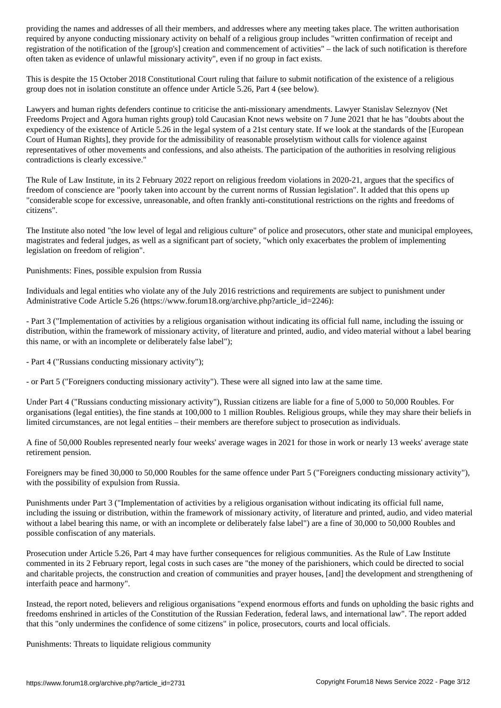required by anyone conducting missionary activity on behalf of a religious group includes "written confirmation of receipt and registration of the notification of the [group's] creation and commencement of activities" – the lack of such notification is therefore often taken as evidence of unlawful missionary activity", even if no group in fact exists.

This is despite the 15 October 2018 Constitutional Court ruling that failure to submit notification of the existence of a religious group does not in isolation constitute an offence under Article 5.26, Part 4 (see below).

Lawyers and human rights defenders continue to criticise the anti-missionary amendments. Lawyer Stanislav Seleznyov (Net Freedoms Project and Agora human rights group) told Caucasian Knot news website on 7 June 2021 that he has "doubts about the expediency of the existence of Article 5.26 in the legal system of a 21st century state. If we look at the standards of the [European Court of Human Rights], they provide for the admissibility of reasonable proselytism without calls for violence against representatives of other movements and confessions, and also atheists. The participation of the authorities in resolving religious contradictions is clearly excessive."

The Rule of Law Institute, in its 2 February 2022 report on religious freedom violations in 2020-21, argues that the specifics of freedom of conscience are "poorly taken into account by the current norms of Russian legislation". It added that this opens up "considerable scope for excessive, unreasonable, and often frankly anti-constitutional restrictions on the rights and freedoms of citizens".

The Institute also noted "the low level of legal and religious culture" of police and prosecutors, other state and municipal employees, magistrates and federal judges, as well as a significant part of society, "which only exacerbates the problem of implementing legislation on freedom of religion".

Punishments: Fines, possible expulsion from Russia

Individuals and legal entities who violate any of the July 2016 restrictions and requirements are subject to punishment under Administrative Code Article 5.26 (https://www.forum18.org/archive.php?article\_id=2246):

- Part 3 ("Implementation of activities by a religious organisation without indicating its official full name, including the issuing or distribution, within the framework of missionary activity, of literature and printed, audio, and video material without a label bearing this name, or with an incomplete or deliberately false label");

- Part 4 ("Russians conducting missionary activity");

- or Part 5 ("Foreigners conducting missionary activity"). These were all signed into law at the same time.

Under Part 4 ("Russians conducting missionary activity"), Russian citizens are liable for a fine of 5,000 to 50,000 Roubles. For organisations (legal entities), the fine stands at 100,000 to 1 million Roubles. Religious groups, while they may share their beliefs in limited circumstances, are not legal entities – their members are therefore subject to prosecution as individuals.

A fine of 50,000 Roubles represented nearly four weeks' average wages in 2021 for those in work or nearly 13 weeks' average state retirement pension.

Foreigners may be fined 30,000 to 50,000 Roubles for the same offence under Part 5 ("Foreigners conducting missionary activity"), with the possibility of expulsion from Russia.

Punishments under Part 3 ("Implementation of activities by a religious organisation without indicating its official full name, including the issuing or distribution, within the framework of missionary activity, of literature and printed, audio, and video material without a label bearing this name, or with an incomplete or deliberately false label") are a fine of 30,000 to 50,000 Roubles and possible confiscation of any materials.

Prosecution under Article 5.26, Part 4 may have further consequences for religious communities. As the Rule of Law Institute commented in its 2 February report, legal costs in such cases are "the money of the parishioners, which could be directed to social and charitable projects, the construction and creation of communities and prayer houses, [and] the development and strengthening of interfaith peace and harmony".

Instead, the report noted, believers and religious organisations "expend enormous efforts and funds on upholding the basic rights and freedoms enshrined in articles of the Constitution of the Russian Federation, federal laws, and international law". The report added that this "only undermines the confidence of some citizens" in police, prosecutors, courts and local officials.

Punishments: Threats to liquidate religious community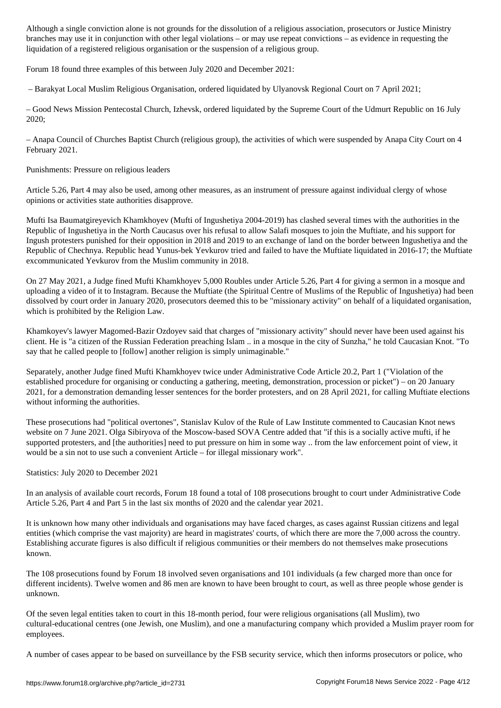branches may use it in conjunction with other legal violations – or may use repeat convictions – as evidence in requesting the liquidation of a registered religious organisation or the suspension of a religious group.

Forum 18 found three examples of this between July 2020 and December 2021:

– Barakyat Local Muslim Religious Organisation, ordered liquidated by Ulyanovsk Regional Court on 7 April 2021;

– Good News Mission Pentecostal Church, Izhevsk, ordered liquidated by the Supreme Court of the Udmurt Republic on 16 July 2020;

– Anapa Council of Churches Baptist Church (religious group), the activities of which were suspended by Anapa City Court on 4 February 2021.

Punishments: Pressure on religious leaders

Article 5.26, Part 4 may also be used, among other measures, as an instrument of pressure against individual clergy of whose opinions or activities state authorities disapprove.

Mufti Isa Baumatgireyevich Khamkhoyev (Mufti of Ingushetiya 2004-2019) has clashed several times with the authorities in the Republic of Ingushetiya in the North Caucasus over his refusal to allow Salafi mosques to join the Muftiate, and his support for Ingush protesters punished for their opposition in 2018 and 2019 to an exchange of land on the border between Ingushetiya and the Republic of Chechnya. Republic head Yunus-bek Yevkurov tried and failed to have the Muftiate liquidated in 2016-17; the Muftiate excommunicated Yevkurov from the Muslim community in 2018.

On 27 May 2021, a Judge fined Mufti Khamkhoyev 5,000 Roubles under Article 5.26, Part 4 for giving a sermon in a mosque and uploading a video of it to Instagram. Because the Muftiate (the Spiritual Centre of Muslims of the Republic of Ingushetiya) had been dissolved by court order in January 2020, prosecutors deemed this to be "missionary activity" on behalf of a liquidated organisation, which is prohibited by the Religion Law.

Khamkoyev's lawyer Magomed-Bazir Ozdoyev said that charges of "missionary activity" should never have been used against his client. He is "a citizen of the Russian Federation preaching Islam .. in a mosque in the city of Sunzha," he told Caucasian Knot. "To say that he called people to [follow] another religion is simply unimaginable."

Separately, another Judge fined Mufti Khamkhoyev twice under Administrative Code Article 20.2, Part 1 ("Violation of the established procedure for organising or conducting a gathering, meeting, demonstration, procession or picket") – on 20 January 2021, for a demonstration demanding lesser sentences for the border protesters, and on 28 April 2021, for calling Muftiate elections without informing the authorities.

These prosecutions had "political overtones", Stanislav Kulov of the Rule of Law Institute commented to Caucasian Knot news website on 7 June 2021. Olga Sibiryova of the Moscow-based SOVA Centre added that "if this is a socially active mufti, if he supported protesters, and [the authorities] need to put pressure on him in some way .. from the law enforcement point of view, it would be a sin not to use such a convenient Article – for illegal missionary work".

Statistics: July 2020 to December 2021

In an analysis of available court records, Forum 18 found a total of 108 prosecutions brought to court under Administrative Code Article 5.26, Part 4 and Part 5 in the last six months of 2020 and the calendar year 2021.

It is unknown how many other individuals and organisations may have faced charges, as cases against Russian citizens and legal entities (which comprise the vast majority) are heard in magistrates' courts, of which there are more the 7,000 across the country. Establishing accurate figures is also difficult if religious communities or their members do not themselves make prosecutions known.

The 108 prosecutions found by Forum 18 involved seven organisations and 101 individuals (a few charged more than once for different incidents). Twelve women and 86 men are known to have been brought to court, as well as three people whose gender is unknown.

Of the seven legal entities taken to court in this 18-month period, four were religious organisations (all Muslim), two cultural-educational centres (one Jewish, one Muslim), and one a manufacturing company which provided a Muslim prayer room for employees.

A number of cases appear to be based on surveillance by the FSB security service, which then informs prosecutors or police, who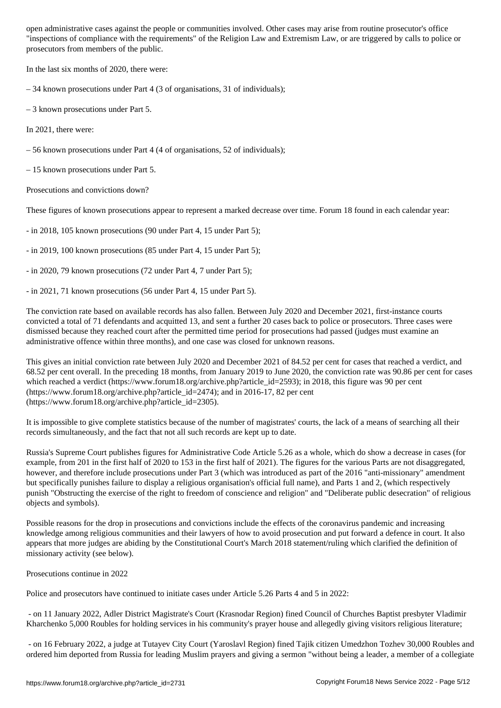"inspections of compliance with the requirements" of the Religion Law and Extremism Law, or are triggered by calls to police or prosecutors from members of the public.

In the last six months of 2020, there were:

– 34 known prosecutions under Part 4 (3 of organisations, 31 of individuals);

– 3 known prosecutions under Part 5.

In 2021, there were:

– 56 known prosecutions under Part 4 (4 of organisations, 52 of individuals);

– 15 known prosecutions under Part 5.

Prosecutions and convictions down?

These figures of known prosecutions appear to represent a marked decrease over time. Forum 18 found in each calendar year:

- in 2018, 105 known prosecutions (90 under Part 4, 15 under Part 5);

- in 2019, 100 known prosecutions (85 under Part 4, 15 under Part 5);

- in 2020, 79 known prosecutions (72 under Part 4, 7 under Part 5);

- in 2021, 71 known prosecutions (56 under Part 4, 15 under Part 5).

The conviction rate based on available records has also fallen. Between July 2020 and December 2021, first-instance courts convicted a total of 71 defendants and acquitted 13, and sent a further 20 cases back to police or prosecutors. Three cases were dismissed because they reached court after the permitted time period for prosecutions had passed (judges must examine an administrative offence within three months), and one case was closed for unknown reasons.

This gives an initial conviction rate between July 2020 and December 2021 of 84.52 per cent for cases that reached a verdict, and 68.52 per cent overall. In the preceding 18 months, from January 2019 to June 2020, the conviction rate was 90.86 per cent for cases which reached a verdict (https://www.forum18.org/archive.php?article\_id=2593); in 2018, this figure was 90 per cent (https://www.forum18.org/archive.php?article\_id=2474); and in 2016-17, 82 per cent (https://www.forum18.org/archive.php?article\_id=2305).

It is impossible to give complete statistics because of the number of magistrates' courts, the lack of a means of searching all their records simultaneously, and the fact that not all such records are kept up to date.

Russia's Supreme Court publishes figures for Administrative Code Article 5.26 as a whole, which do show a decrease in cases (for example, from 201 in the first half of 2020 to 153 in the first half of 2021). The figures for the various Parts are not disaggregated, however, and therefore include prosecutions under Part 3 (which was introduced as part of the 2016 "anti-missionary" amendment but specifically punishes failure to display a religious organisation's official full name), and Parts 1 and 2, (which respectively punish "Obstructing the exercise of the right to freedom of conscience and religion" and "Deliberate public desecration" of religious objects and symbols).

Possible reasons for the drop in prosecutions and convictions include the effects of the coronavirus pandemic and increasing knowledge among religious communities and their lawyers of how to avoid prosecution and put forward a defence in court. It also appears that more judges are abiding by the Constitutional Court's March 2018 statement/ruling which clarified the definition of missionary activity (see below).

Prosecutions continue in 2022

Police and prosecutors have continued to initiate cases under Article 5.26 Parts 4 and 5 in 2022:

 - on 11 January 2022, Adler District Magistrate's Court (Krasnodar Region) fined Council of Churches Baptist presbyter Vladimir Kharchenko 5,000 Roubles for holding services in his community's prayer house and allegedly giving visitors religious literature;

 - on 16 February 2022, a judge at Tutayev City Court (Yaroslavl Region) fined Tajik citizen Umedzhon Tozhev 30,000 Roubles and ordered him deported from Russia for leading Muslim prayers and giving a sermon "without being a leader, a member of a collegiate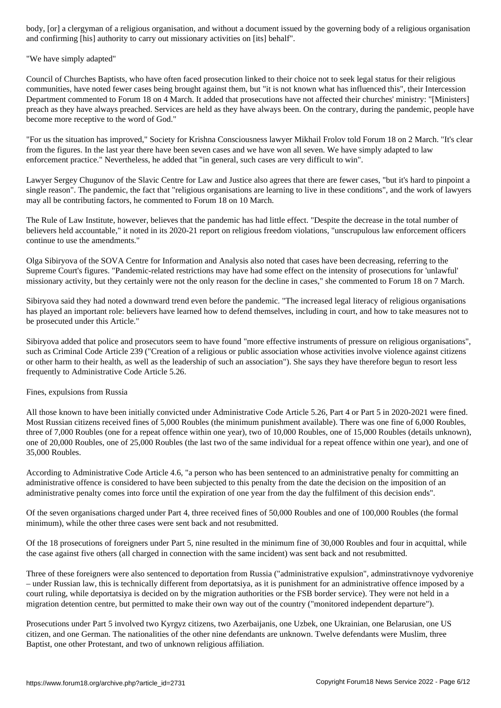and confirming [his] authority to carry out missionary activities on [its] behalf".

"We have simply adapted"

Council of Churches Baptists, who have often faced prosecution linked to their choice not to seek legal status for their religious communities, have noted fewer cases being brought against them, but "it is not known what has influenced this", their Intercession Department commented to Forum 18 on 4 March. It added that prosecutions have not affected their churches' ministry: "[Ministers] preach as they have always preached. Services are held as they have always been. On the contrary, during the pandemic, people have become more receptive to the word of God."

"For us the situation has improved," Society for Krishna Consciousness lawyer Mikhail Frolov told Forum 18 on 2 March. "It's clear from the figures. In the last year there have been seven cases and we have won all seven. We have simply adapted to law enforcement practice." Nevertheless, he added that "in general, such cases are very difficult to win".

Lawyer Sergey Chugunov of the Slavic Centre for Law and Justice also agrees that there are fewer cases, "but it's hard to pinpoint a single reason". The pandemic, the fact that "religious organisations are learning to live in these conditions", and the work of lawyers may all be contributing factors, he commented to Forum 18 on 10 March.

The Rule of Law Institute, however, believes that the pandemic has had little effect. "Despite the decrease in the total number of believers held accountable," it noted in its 2020-21 report on religious freedom violations, "unscrupulous law enforcement officers continue to use the amendments."

Olga Sibiryova of the SOVA Centre for Information and Analysis also noted that cases have been decreasing, referring to the Supreme Court's figures. "Pandemic-related restrictions may have had some effect on the intensity of prosecutions for 'unlawful' missionary activity, but they certainly were not the only reason for the decline in cases," she commented to Forum 18 on 7 March.

Sibiryova said they had noted a downward trend even before the pandemic. "The increased legal literacy of religious organisations has played an important role: believers have learned how to defend themselves, including in court, and how to take measures not to be prosecuted under this Article."

Sibiryova added that police and prosecutors seem to have found "more effective instruments of pressure on religious organisations", such as Criminal Code Article 239 ("Creation of a religious or public association whose activities involve violence against citizens or other harm to their health, as well as the leadership of such an association"). She says they have therefore begun to resort less frequently to Administrative Code Article 5.26.

Fines, expulsions from Russia

All those known to have been initially convicted under Administrative Code Article 5.26, Part 4 or Part 5 in 2020-2021 were fined. Most Russian citizens received fines of 5,000 Roubles (the minimum punishment available). There was one fine of 6,000 Roubles, three of 7,000 Roubles (one for a repeat offence within one year), two of 10,000 Roubles, one of 15,000 Roubles (details unknown), one of 20,000 Roubles, one of 25,000 Roubles (the last two of the same individual for a repeat offence within one year), and one of 35,000 Roubles.

According to Administrative Code Article 4.6, "a person who has been sentenced to an administrative penalty for committing an administrative offence is considered to have been subjected to this penalty from the date the decision on the imposition of an administrative penalty comes into force until the expiration of one year from the day the fulfilment of this decision ends".

Of the seven organisations charged under Part 4, three received fines of 50,000 Roubles and one of 100,000 Roubles (the formal minimum), while the other three cases were sent back and not resubmitted.

Of the 18 prosecutions of foreigners under Part 5, nine resulted in the minimum fine of 30,000 Roubles and four in acquittal, while the case against five others (all charged in connection with the same incident) was sent back and not resubmitted.

Three of these foreigners were also sentenced to deportation from Russia ("administrative expulsion", adminstrativnoye vydvoreniye – under Russian law, this is technically different from deportatsiya, as it is punishment for an administrative offence imposed by a court ruling, while deportatsiya is decided on by the migration authorities or the FSB border service). They were not held in a migration detention centre, but permitted to make their own way out of the country ("monitored independent departure").

Prosecutions under Part 5 involved two Kyrgyz citizens, two Azerbaijanis, one Uzbek, one Ukrainian, one Belarusian, one US citizen, and one German. The nationalities of the other nine defendants are unknown. Twelve defendants were Muslim, three Baptist, one other Protestant, and two of unknown religious affiliation.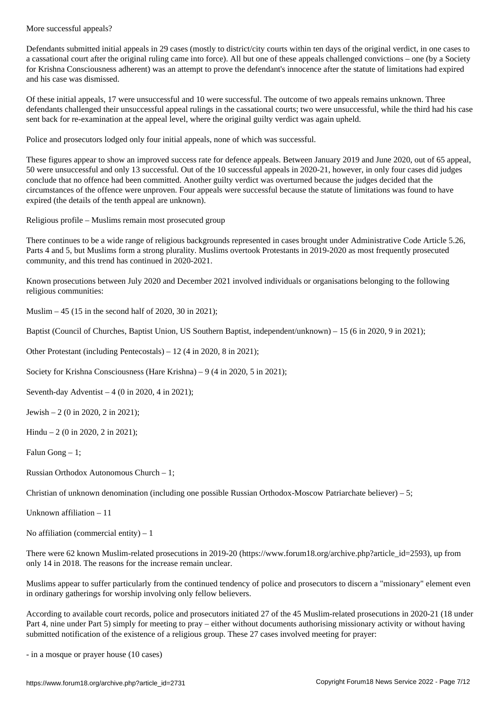Defendants submitted initial appeals in 29 cases (mostly to district/city courts within ten days of the original verdict, in one cases to a cassational court after the original ruling came into force). All but one of these appeals challenged convictions – one (by a Society for Krishna Consciousness adherent) was an attempt to prove the defendant's innocence after the statute of limitations had expired and his case was dismissed.

Of these initial appeals, 17 were unsuccessful and 10 were successful. The outcome of two appeals remains unknown. Three defendants challenged their unsuccessful appeal rulings in the cassational courts; two were unsuccessful, while the third had his case sent back for re-examination at the appeal level, where the original guilty verdict was again upheld.

Police and prosecutors lodged only four initial appeals, none of which was successful.

These figures appear to show an improved success rate for defence appeals. Between January 2019 and June 2020, out of 65 appeal, 50 were unsuccessful and only 13 successful. Out of the 10 successful appeals in 2020-21, however, in only four cases did judges conclude that no offence had been committed. Another guilty verdict was overturned because the judges decided that the circumstances of the offence were unproven. Four appeals were successful because the statute of limitations was found to have expired (the details of the tenth appeal are unknown).

Religious profile – Muslims remain most prosecuted group

There continues to be a wide range of religious backgrounds represented in cases brought under Administrative Code Article 5.26, Parts 4 and 5, but Muslims form a strong plurality. Muslims overtook Protestants in 2019-2020 as most frequently prosecuted community, and this trend has continued in 2020-2021.

Known prosecutions between July 2020 and December 2021 involved individuals or organisations belonging to the following religious communities:

Muslim – 45 (15 in the second half of 2020, 30 in 2021);

Baptist (Council of Churches, Baptist Union, US Southern Baptist, independent/unknown) – 15 (6 in 2020, 9 in 2021);

Other Protestant (including Pentecostals) – 12 (4 in 2020, 8 in 2021);

Society for Krishna Consciousness (Hare Krishna) – 9 (4 in 2020, 5 in 2021);

Seventh-day Adventist  $-4$  (0 in 2020, 4 in 2021);

Jewish – 2 (0 in 2020, 2 in 2021);

Hindu – 2 (0 in 2020, 2 in 2021);

Falun Gong  $-1$ ;

Russian Orthodox Autonomous Church – 1;

Christian of unknown denomination (including one possible Russian Orthodox-Moscow Patriarchate believer) – 5;

Unknown affiliation – 11

No affiliation (commercial entity)  $-1$ 

There were 62 known Muslim-related prosecutions in 2019-20 (https://www.forum18.org/archive.php?article\_id=2593), up from only 14 in 2018. The reasons for the increase remain unclear.

Muslims appear to suffer particularly from the continued tendency of police and prosecutors to discern a "missionary" element even in ordinary gatherings for worship involving only fellow believers.

According to available court records, police and prosecutors initiated 27 of the 45 Muslim-related prosecutions in 2020-21 (18 under Part 4, nine under Part 5) simply for meeting to pray – either without documents authorising missionary activity or without having submitted notification of the existence of a religious group. These 27 cases involved meeting for prayer:

- in a mosque or prayer house (10 cases)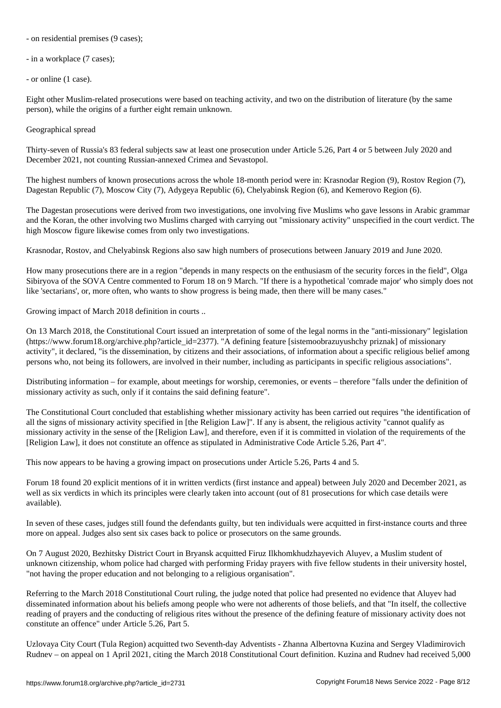- on  $\mathbf{I}$  because (9 cases); (9 cases); (9 cases); (9 cases); (9 cases); (9 cases); (9 cases); (9 cases); (9 cases); (9 cases); (9 cases); (9 cases); (9 cases); (9 cases); (9 cases); (9 cases); (9 cases); (9 cases); (

- in a workplace (7 cases);

- or online (1 case).

Eight other Muslim-related prosecutions were based on teaching activity, and two on the distribution of literature (by the same person), while the origins of a further eight remain unknown.

Geographical spread

Thirty-seven of Russia's 83 federal subjects saw at least one prosecution under Article 5.26, Part 4 or 5 between July 2020 and December 2021, not counting Russian-annexed Crimea and Sevastopol.

The highest numbers of known prosecutions across the whole 18-month period were in: Krasnodar Region (9), Rostov Region (7), Dagestan Republic (7), Moscow City (7), Adygeya Republic (6), Chelyabinsk Region (6), and Kemerovo Region (6).

The Dagestan prosecutions were derived from two investigations, one involving five Muslims who gave lessons in Arabic grammar and the Koran, the other involving two Muslims charged with carrying out "missionary activity" unspecified in the court verdict. The high Moscow figure likewise comes from only two investigations.

Krasnodar, Rostov, and Chelyabinsk Regions also saw high numbers of prosecutions between January 2019 and June 2020.

How many prosecutions there are in a region "depends in many respects on the enthusiasm of the security forces in the field", Olga Sibiryova of the SOVA Centre commented to Forum 18 on 9 March. "If there is a hypothetical 'comrade major' who simply does not like 'sectarians', or, more often, who wants to show progress is being made, then there will be many cases."

Growing impact of March 2018 definition in courts ..

On 13 March 2018, the Constitutional Court issued an interpretation of some of the legal norms in the "anti-missionary" legislation (https://www.forum18.org/archive.php?article\_id=2377). "A defining feature [sistemoobrazuyushchy priznak] of missionary activity", it declared, "is the dissemination, by citizens and their associations, of information about a specific religious belief among persons who, not being its followers, are involved in their number, including as participants in specific religious associations".

Distributing information – for example, about meetings for worship, ceremonies, or events – therefore "falls under the definition of missionary activity as such, only if it contains the said defining feature".

The Constitutional Court concluded that establishing whether missionary activity has been carried out requires "the identification of all the signs of missionary activity specified in [the Religion Law]". If any is absent, the religious activity "cannot qualify as missionary activity in the sense of the [Religion Law], and therefore, even if it is committed in violation of the requirements of the [Religion Law], it does not constitute an offence as stipulated in Administrative Code Article 5.26, Part 4".

This now appears to be having a growing impact on prosecutions under Article 5.26, Parts 4 and 5.

Forum 18 found 20 explicit mentions of it in written verdicts (first instance and appeal) between July 2020 and December 2021, as well as six verdicts in which its principles were clearly taken into account (out of 81 prosecutions for which case details were available).

In seven of these cases, judges still found the defendants guilty, but ten individuals were acquitted in first-instance courts and three more on appeal. Judges also sent six cases back to police or prosecutors on the same grounds.

On 7 August 2020, Bezhitsky District Court in Bryansk acquitted Firuz Ilkhomkhudzhayevich Aluyev, a Muslim student of unknown citizenship, whom police had charged with performing Friday prayers with five fellow students in their university hostel, "not having the proper education and not belonging to a religious organisation".

Referring to the March 2018 Constitutional Court ruling, the judge noted that police had presented no evidence that Aluyev had disseminated information about his beliefs among people who were not adherents of those beliefs, and that "In itself, the collective reading of prayers and the conducting of religious rites without the presence of the defining feature of missionary activity does not constitute an offence" under Article 5.26, Part 5.

Uzlovaya City Court (Tula Region) acquitted two Seventh-day Adventists - Zhanna Albertovna Kuzina and Sergey Vladimirovich Rudnev – on appeal on 1 April 2021, citing the March 2018 Constitutional Court definition. Kuzina and Rudnev had received 5,000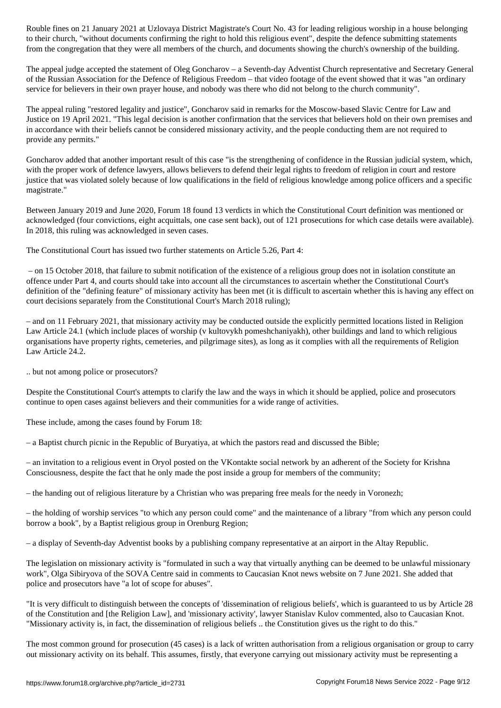to the right to the right to hold the right to hold this religious event  $\omega$  , define submitting statements the defence submitting statements of  $\omega$ from the congregation that they were all members of the church, and documents showing the church's ownership of the building.

The appeal judge accepted the statement of Oleg Goncharov – a Seventh-day Adventist Church representative and Secretary General of the Russian Association for the Defence of Religious Freedom – that video footage of the event showed that it was "an ordinary service for believers in their own prayer house, and nobody was there who did not belong to the church community".

The appeal ruling "restored legality and justice", Goncharov said in remarks for the Moscow-based Slavic Centre for Law and Justice on 19 April 2021. "This legal decision is another confirmation that the services that believers hold on their own premises and in accordance with their beliefs cannot be considered missionary activity, and the people conducting them are not required to provide any permits."

Goncharov added that another important result of this case "is the strengthening of confidence in the Russian judicial system, which, with the proper work of defence lawyers, allows believers to defend their legal rights to freedom of religion in court and restore justice that was violated solely because of low qualifications in the field of religious knowledge among police officers and a specific magistrate."

Between January 2019 and June 2020, Forum 18 found 13 verdicts in which the Constitutional Court definition was mentioned or acknowledged (four convictions, eight acquittals, one case sent back), out of 121 prosecutions for which case details were available). In 2018, this ruling was acknowledged in seven cases.

The Constitutional Court has issued two further statements on Article 5.26, Part 4:

 – on 15 October 2018, that failure to submit notification of the existence of a religious group does not in isolation constitute an offence under Part 4, and courts should take into account all the circumstances to ascertain whether the Constitutional Court's definition of the "defining feature" of missionary activity has been met (it is difficult to ascertain whether this is having any effect on court decisions separately from the Constitutional Court's March 2018 ruling);

– and on 11 February 2021, that missionary activity may be conducted outside the explicitly permitted locations listed in Religion Law Article 24.1 (which include places of worship (v kultovykh pomeshchaniyakh), other buildings and land to which religious organisations have property rights, cemeteries, and pilgrimage sites), as long as it complies with all the requirements of Religion Law Article 24.2.

.. but not among police or prosecutors?

Despite the Constitutional Court's attempts to clarify the law and the ways in which it should be applied, police and prosecutors continue to open cases against believers and their communities for a wide range of activities.

These include, among the cases found by Forum 18:

– a Baptist church picnic in the Republic of Buryatiya, at which the pastors read and discussed the Bible;

– an invitation to a religious event in Oryol posted on the VKontakte social network by an adherent of the Society for Krishna Consciousness, despite the fact that he only made the post inside a group for members of the community;

– the handing out of religious literature by a Christian who was preparing free meals for the needy in Voronezh;

– the holding of worship services "to which any person could come" and the maintenance of a library "from which any person could borrow a book", by a Baptist religious group in Orenburg Region;

– a display of Seventh-day Adventist books by a publishing company representative at an airport in the Altay Republic.

The legislation on missionary activity is "formulated in such a way that virtually anything can be deemed to be unlawful missionary work", Olga Sibiryova of the SOVA Centre said in comments to Caucasian Knot news website on 7 June 2021. She added that police and prosecutors have "a lot of scope for abuses".

"It is very difficult to distinguish between the concepts of 'dissemination of religious beliefs', which is guaranteed to us by Article 28 of the Constitution and [the Religion Law], and 'missionary activity', lawyer Stanislav Kulov commented, also to Caucasian Knot. "Missionary activity is, in fact, the dissemination of religious beliefs .. the Constitution gives us the right to do this."

The most common ground for prosecution (45 cases) is a lack of written authorisation from a religious organisation or group to carry out missionary activity on its behalf. This assumes, firstly, that everyone carrying out missionary activity must be representing a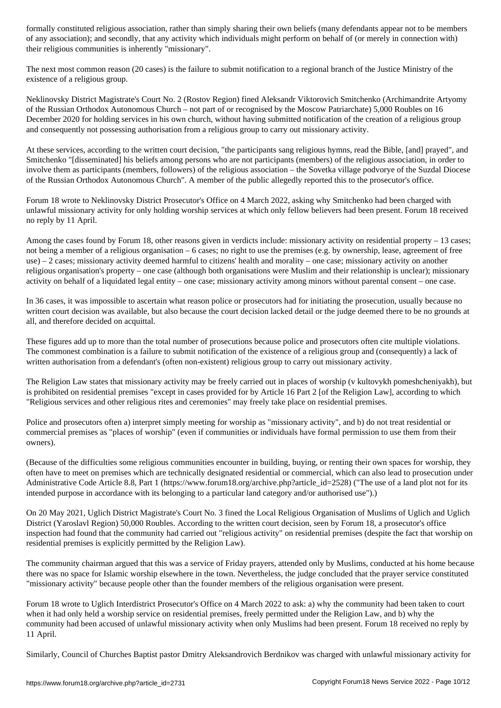of any association); and secondly, that any activity which individuals might perform on behalf of (or merely in connection with) their religious communities is inherently "missionary".

The next most common reason (20 cases) is the failure to submit notification to a regional branch of the Justice Ministry of the existence of a religious group.

Neklinovsky District Magistrate's Court No. 2 (Rostov Region) fined Aleksandr Viktorovich Smitchenko (Archimandrite Artyomy of the Russian Orthodox Autonomous Church – not part of or recognised by the Moscow Patriarchate) 5,000 Roubles on 16 December 2020 for holding services in his own church, without having submitted notification of the creation of a religious group and consequently not possessing authorisation from a religious group to carry out missionary activity.

At these services, according to the written court decision, "the participants sang religious hymns, read the Bible, [and] prayed", and Smitchenko "[disseminated] his beliefs among persons who are not participants (members) of the religious association, in order to involve them as participants (members, followers) of the religious association – the Sovetka village podvorye of the Suzdal Diocese of the Russian Orthodox Autonomous Church". A member of the public allegedly reported this to the prosecutor's office.

Forum 18 wrote to Neklinovsky District Prosecutor's Office on 4 March 2022, asking why Smitchenko had been charged with unlawful missionary activity for only holding worship services at which only fellow believers had been present. Forum 18 received no reply by 11 April.

Among the cases found by Forum 18, other reasons given in verdicts include: missionary activity on residential property – 13 cases; not being a member of a religious organisation – 6 cases; no right to use the premises (e.g. by ownership, lease, agreement of free use) – 2 cases; missionary activity deemed harmful to citizens' health and morality – one case; missionary activity on another religious organisation's property – one case (although both organisations were Muslim and their relationship is unclear); missionary activity on behalf of a liquidated legal entity – one case; missionary activity among minors without parental consent – one case.

In 36 cases, it was impossible to ascertain what reason police or prosecutors had for initiating the prosecution, usually because no written court decision was available, but also because the court decision lacked detail or the judge deemed there to be no grounds at all, and therefore decided on acquittal.

These figures add up to more than the total number of prosecutions because police and prosecutors often cite multiple violations. The commonest combination is a failure to submit notification of the existence of a religious group and (consequently) a lack of written authorisation from a defendant's (often non-existent) religious group to carry out missionary activity.

The Religion Law states that missionary activity may be freely carried out in places of worship (v kultovykh pomeshcheniyakh), but is prohibited on residential premises "except in cases provided for by Article 16 Part 2 [of the Religion Law], according to which "Religious services and other religious rites and ceremonies" may freely take place on residential premises.

Police and prosecutors often a) interpret simply meeting for worship as "missionary activity", and b) do not treat residential or commercial premises as "places of worship" (even if communities or individuals have formal permission to use them from their owners).

(Because of the difficulties some religious communities encounter in building, buying, or renting their own spaces for worship, they often have to meet on premises which are technically designated residential or commercial, which can also lead to prosecution under Administrative Code Article 8.8, Part 1 (https://www.forum18.org/archive.php?article\_id=2528) ("The use of a land plot not for its intended purpose in accordance with its belonging to a particular land category and/or authorised use").)

On 20 May 2021, Uglich District Magistrate's Court No. 3 fined the Local Religious Organisation of Muslims of Uglich and Uglich District (Yaroslavl Region) 50,000 Roubles. According to the written court decision, seen by Forum 18, a prosecutor's office inspection had found that the community had carried out "religious activity" on residential premises (despite the fact that worship on residential premises is explicitly permitted by the Religion Law).

The community chairman argued that this was a service of Friday prayers, attended only by Muslims, conducted at his home because there was no space for Islamic worship elsewhere in the town. Nevertheless, the judge concluded that the prayer service constituted "missionary activity" because people other than the founder members of the religious organisation were present.

Forum 18 wrote to Uglich Interdistrict Prosecutor's Office on 4 March 2022 to ask: a) why the community had been taken to court when it had only held a worship service on residential premises, freely permitted under the Religion Law, and b) why the community had been accused of unlawful missionary activity when only Muslims had been present. Forum 18 received no reply by 11 April.

Similarly, Council of Churches Baptist pastor Dmitry Aleksandrovich Berdnikov was charged with unlawful missionary activity for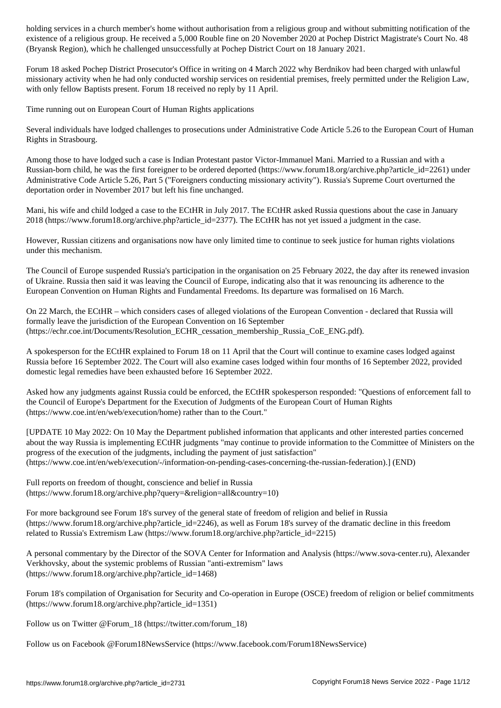existence of a religious group. He received a 5,000 Rouble fine on 20 November 2020 at Pochep District Magistrate's Court No. 48 (Bryansk Region), which he challenged unsuccessfully at Pochep District Court on 18 January 2021.

Forum 18 asked Pochep District Prosecutor's Office in writing on 4 March 2022 why Berdnikov had been charged with unlawful missionary activity when he had only conducted worship services on residential premises, freely permitted under the Religion Law, with only fellow Baptists present. Forum 18 received no reply by 11 April.

Time running out on European Court of Human Rights applications

Several individuals have lodged challenges to prosecutions under Administrative Code Article 5.26 to the European Court of Human Rights in Strasbourg.

Among those to have lodged such a case is Indian Protestant pastor Victor-Immanuel Mani. Married to a Russian and with a Russian-born child, he was the first foreigner to be ordered deported (https://www.forum18.org/archive.php?article\_id=2261) under Administrative Code Article 5.26, Part 5 ("Foreigners conducting missionary activity"). Russia's Supreme Court overturned the deportation order in November 2017 but left his fine unchanged.

Mani, his wife and child lodged a case to the ECtHR in July 2017. The ECtHR asked Russia questions about the case in January 2018 (https://www.forum18.org/archive.php?article\_id=2377). The ECtHR has not yet issued a judgment in the case.

However, Russian citizens and organisations now have only limited time to continue to seek justice for human rights violations under this mechanism.

The Council of Europe suspended Russia's participation in the organisation on 25 February 2022, the day after its renewed invasion of Ukraine. Russia then said it was leaving the Council of Europe, indicating also that it was renouncing its adherence to the European Convention on Human Rights and Fundamental Freedoms. Its departure was formalised on 16 March.

On 22 March, the ECtHR – which considers cases of alleged violations of the European Convention - declared that Russia will formally leave the jurisdiction of the European Convention on 16 September (https://echr.coe.int/Documents/Resolution\_ECHR\_cessation\_membership\_Russia\_CoE\_ENG.pdf).

A spokesperson for the ECtHR explained to Forum 18 on 11 April that the Court will continue to examine cases lodged against Russia before 16 September 2022. The Court will also examine cases lodged within four months of 16 September 2022, provided domestic legal remedies have been exhausted before 16 September 2022.

Asked how any judgments against Russia could be enforced, the ECtHR spokesperson responded: "Questions of enforcement fall to the Council of Europe's Department for the Execution of Judgments of the European Court of Human Rights (https://www.coe.int/en/web/execution/home) rather than to the Court."

[UPDATE 10 May 2022: On 10 May the Department published information that applicants and other interested parties concerned about the way Russia is implementing ECtHR judgments "may continue to provide information to the Committee of Ministers on the progress of the execution of the judgments, including the payment of just satisfaction" (https://www.coe.int/en/web/execution/-/information-on-pending-cases-concerning-the-russian-federation).] (END)

Full reports on freedom of thought, conscience and belief in Russia (https://www.forum18.org/archive.php?query=&religion=all&country=10)

For more background see Forum 18's survey of the general state of freedom of religion and belief in Russia (https://www.forum18.org/archive.php?article\_id=2246), as well as Forum 18's survey of the dramatic decline in this freedom related to Russia's Extremism Law (https://www.forum18.org/archive.php?article\_id=2215)

A personal commentary by the Director of the SOVA Center for Information and Analysis (https://www.sova-center.ru), Alexander Verkhovsky, about the systemic problems of Russian "anti-extremism" laws (https://www.forum18.org/archive.php?article\_id=1468)

Forum 18's compilation of Organisation for Security and Co-operation in Europe (OSCE) freedom of religion or belief commitments (https://www.forum18.org/archive.php?article\_id=1351)

Follow us on Twitter @Forum\_18 (https://twitter.com/forum\_18)

Follow us on Facebook @Forum18NewsService (https://www.facebook.com/Forum18NewsService)